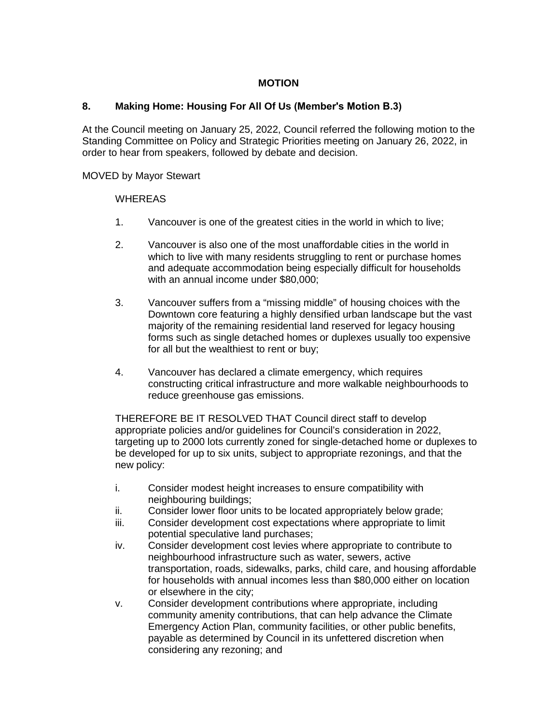## **MOTION**

## **8. Making Home: Housing For All Of Us (Member's Motion B.3)**

At the Council meeting on January 25, 2022, Council referred the following motion to the Standing Committee on Policy and Strategic Priorities meeting on January 26, 2022, in order to hear from speakers, followed by debate and decision.

## MOVED by Mayor Stewart

## **WHEREAS**

- 1. Vancouver is one of the greatest cities in the world in which to live;
- 2. Vancouver is also one of the most unaffordable cities in the world in which to live with many residents struggling to rent or purchase homes and adequate accommodation being especially difficult for households with an annual income under \$80,000;
- 3. Vancouver suffers from a "missing middle" of housing choices with the Downtown core featuring a highly densified urban landscape but the vast majority of the remaining residential land reserved for legacy housing forms such as single detached homes or duplexes usually too expensive for all but the wealthiest to rent or buy;
- 4. Vancouver has declared a climate emergency, which requires constructing critical infrastructure and more walkable neighbourhoods to reduce greenhouse gas emissions.

THEREFORE BE IT RESOLVED THAT Council direct staff to develop appropriate policies and/or guidelines for Council's consideration in 2022, targeting up to 2000 lots currently zoned for single-detached home or duplexes to be developed for up to six units, subject to appropriate rezonings, and that the new policy:

- i. Consider modest height increases to ensure compatibility with neighbouring buildings;
- ii. Consider lower floor units to be located appropriately below grade;
- iii. Consider development cost expectations where appropriate to limit potential speculative land purchases;
- iv. Consider development cost levies where appropriate to contribute to neighbourhood infrastructure such as water, sewers, active transportation, roads, sidewalks, parks, child care, and housing affordable for households with annual incomes less than \$80,000 either on location or elsewhere in the city;
- v. Consider development contributions where appropriate, including community amenity contributions, that can help advance the Climate Emergency Action Plan, community facilities, or other public benefits, payable as determined by Council in its unfettered discretion when considering any rezoning; and